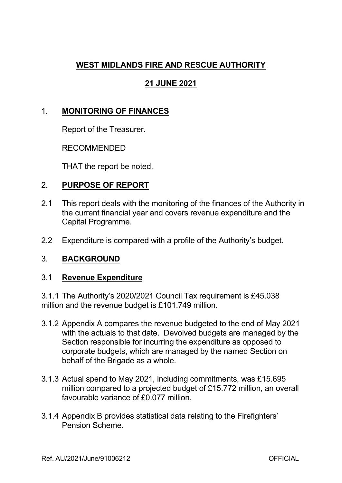## **WEST MIDLANDS FIRE AND RESCUE AUTHORITY**

# **21 JUNE 2021**

## 1. **MONITORING OF FINANCES**

Report of the Treasurer.

RECOMMENDED

THAT the report be noted.

## 2. **PURPOSE OF REPORT**

- 2.1 This report deals with the monitoring of the finances of the Authority in the current financial year and covers revenue expenditure and the Capital Programme.
- 2.2 Expenditure is compared with a profile of the Authority's budget.

### 3. **BACKGROUND**

#### 3.1 **Revenue Expenditure**

3.1.1 The Authority's 2020/2021 Council Tax requirement is £45.038 million and the revenue budget is £101.749 million.

- 3.1.2 Appendix A compares the revenue budgeted to the end of May 2021 with the actuals to that date. Devolved budgets are managed by the Section responsible for incurring the expenditure as opposed to corporate budgets, which are managed by the named Section on behalf of the Brigade as a whole.
- 3.1.3 Actual spend to May 2021, including commitments, was £15.695 million compared to a projected budget of £15.772 million, an overall favourable variance of £0.077 million.
- 3.1.4 Appendix B provides statistical data relating to the Firefighters' Pension Scheme.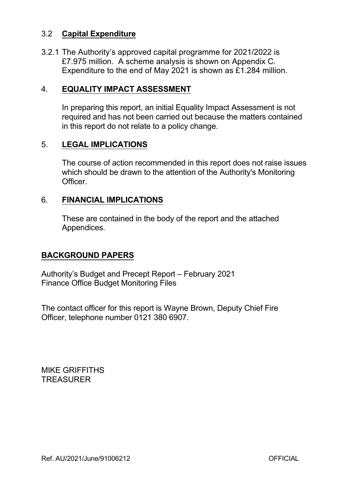### 3.2 **Capital Expenditure**

3.2.1 The Authority's approved capital programme for 2021/2022 is £7.975 million. A scheme analysis is shown on Appendix C. Expenditure to the end of May 2021 is shown as £1.284 million.

#### 4. **EQUALITY IMPACT ASSESSMENT**

In preparing this report, an initial Equality Impact Assessment is not required and has not been carried out because the matters contained in this report do not relate to a policy change.

### 5. **LEGAL IMPLICATIONS**

The course of action recommended in this report does not raise issues which should be drawn to the attention of the Authority's Monitoring **Officer** 

#### 6. **FINANCIAL IMPLICATIONS**

These are contained in the body of the report and the attached Appendices.

#### **BACKGROUND PAPERS**

Authority's Budget and Precept Report – February 2021 Finance Office Budget Monitoring Files

The contact officer for this report is Wayne Brown, Deputy Chief Fire Officer, telephone number 0121 380 6907.

MIKE GRIFFITHS **TREASURER**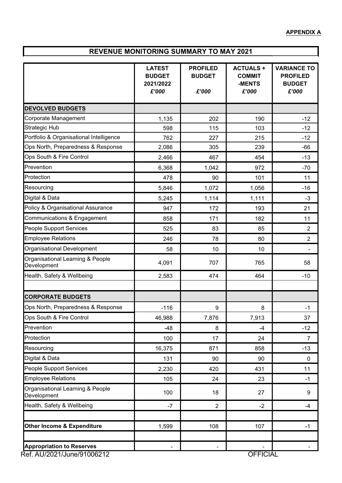# **REVENUE MONITORING SUMMARY TO MAY 2021**

|                                                                | <b>LATEST</b><br><b>BUDGET</b><br>2021/2022<br>£'000 | <b>PROFILED</b><br><b>BUDGET</b><br>£'000 | <b>ACTUALS +</b><br><b>COMMIT</b><br>-MENTS<br>£'000 | <b>VARIANCE TO</b><br><b>PROFILED</b><br><b>BUDGET</b><br>£'000 |
|----------------------------------------------------------------|------------------------------------------------------|-------------------------------------------|------------------------------------------------------|-----------------------------------------------------------------|
| <b>DEVOLVED BUDGETS</b>                                        |                                                      |                                           |                                                      |                                                                 |
| Corporate Management                                           | 1,135                                                | 202                                       | 190                                                  | $-12$                                                           |
| <b>Strategic Hub</b>                                           | 598                                                  | 115                                       | 103                                                  | $-12$                                                           |
| Portfolio & Organisational Intelligence                        | 762                                                  | 227                                       | 215                                                  | $-12$                                                           |
| Ops North, Preparedness & Response                             | 2,086                                                | 305                                       | 239                                                  | $-66$                                                           |
| Ops South & Fire Control                                       | 2,466                                                | 467                                       | 454                                                  | $-13$                                                           |
| Prevention                                                     | 6,368                                                | 1,042                                     | 972                                                  | $-70$                                                           |
| Protection                                                     | 478                                                  | 90                                        | 101                                                  | 11                                                              |
| Resourcing                                                     | 5,846                                                | 1,072                                     | 1,056                                                | $-16$                                                           |
| Digital & Data                                                 | 5,245                                                | 1,114                                     | 1,111                                                | $-3$                                                            |
| Policy & Organisational Assurance                              | 947                                                  | 172                                       | 193                                                  | 21                                                              |
| Communications & Engagement                                    | 858                                                  | 171                                       | 182                                                  | 11                                                              |
| People Support Services                                        | 525                                                  | 83                                        | 85                                                   | $\overline{2}$                                                  |
| <b>Employee Relations</b>                                      | 246                                                  | 78                                        | 80                                                   | $\overline{2}$                                                  |
| Organisational Development                                     | 58                                                   | 10                                        | 10                                                   |                                                                 |
| Organisational Learning & People<br>Development                | 4,091                                                | 707                                       | 765                                                  | 58                                                              |
| Health, Safety & Wellbeing                                     | 2,583                                                | 474                                       | 464                                                  | $-10$                                                           |
|                                                                |                                                      |                                           |                                                      |                                                                 |
| <b>CORPORATE BUDGETS</b>                                       |                                                      |                                           |                                                      |                                                                 |
| Ops North, Preparedness & Response                             | $-116$                                               | 9                                         | 8                                                    | $-1$                                                            |
| Ops South & Fire Control                                       | 46,988                                               | 7,876                                     | 7,913                                                | 37                                                              |
| Prevention                                                     | $-48$                                                | 8                                         | -4                                                   | $-12$                                                           |
| Protection                                                     | 100                                                  | 17                                        | 24                                                   | $\overline{7}$                                                  |
| Resourcing                                                     | 16,375                                               | 871                                       | 858                                                  | $-13$                                                           |
| Digital & Data                                                 | 131                                                  | 90                                        | 90                                                   | $\mathbf{0}$                                                    |
| People Support Services                                        | 2,230                                                | 420                                       | 431                                                  | 11                                                              |
| <b>Employee Relations</b>                                      | 105                                                  | 24                                        | 23                                                   | $-1$                                                            |
| Organisational Learning & People<br>Development                | 100                                                  | 18                                        | 27                                                   | 9                                                               |
| Health, Safety & Wellbeing                                     | $-7$                                                 | $\overline{2}$                            | $-2$                                                 | $-4$                                                            |
| <b>Other Income &amp; Expenditure</b>                          | 1,599                                                | 108                                       | 107                                                  | $-1$                                                            |
| <b>Appropriation to Reserves</b><br>Ref. AU/2021/June/91006212 |                                                      |                                           | <b>OFFICIAL</b>                                      |                                                                 |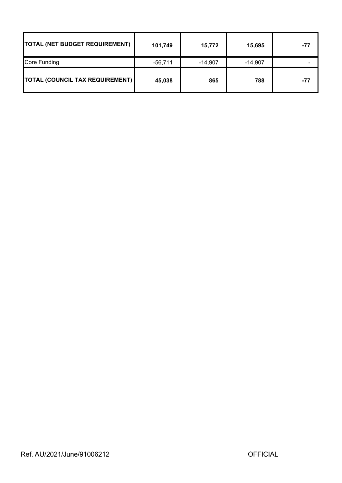| <b>TOTAL (NET BUDGET REQUIREMENT)</b>  | 101,749 | 15,772    | 15,695    | -77 |
|----------------------------------------|---------|-----------|-----------|-----|
| Core Funding                           | -56,711 | $-14,907$ | $-14,907$ |     |
| <b>TOTAL (COUNCIL TAX REQUIREMENT)</b> | 45,038  | 865       | 788       | -77 |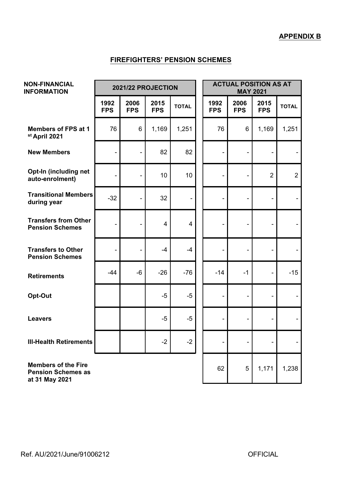#### **FIREFIGHTERS' PENSION SCHEMES**

| <b>NON-FINANCIAL</b><br><b>INFORMATION</b>                                | 2021/22 PROJECTION |                    |                    |              | <b>ACTUAL POSITION AS AT</b><br><b>MAY 2021</b> |                    |                          |                |
|---------------------------------------------------------------------------|--------------------|--------------------|--------------------|--------------|-------------------------------------------------|--------------------|--------------------------|----------------|
|                                                                           | 1992<br><b>FPS</b> | 2006<br><b>FPS</b> | 2015<br><b>FPS</b> | <b>TOTAL</b> | 1992<br><b>FPS</b>                              | 2006<br><b>FPS</b> | 2015<br><b>FPS</b>       | <b>TOTAL</b>   |
| <b>Members of FPS at 1</b><br>st April 2021                               | 76                 | 6                  | 1,169              | 1,251        | 76                                              | 6                  | 1,169                    | 1,251          |
| <b>New Members</b>                                                        |                    |                    | 82                 | 82           |                                                 |                    |                          |                |
| Opt-In (including net<br>auto-enrolment)                                  |                    |                    | 10                 | 10           | -                                               |                    | $\overline{2}$           | $\overline{2}$ |
| <b>Transitional Members</b><br>during year                                | $-32$              |                    | 32                 |              |                                                 |                    |                          |                |
| <b>Transfers from Other</b><br><b>Pension Schemes</b>                     | ۰                  |                    | 4                  | 4            | -                                               |                    |                          |                |
| <b>Transfers to Other</b><br><b>Pension Schemes</b>                       | $\overline{a}$     | Ĭ.                 | $-4$               | $-4$         | ÷,                                              | $\blacksquare$     |                          |                |
| <b>Retirements</b>                                                        | $-44$              | $-6$               | $-26$              | $-76$        | $-14$                                           | $-1$               | $\overline{\phantom{a}}$ | $-15$          |
| Opt-Out                                                                   |                    |                    | $-5$               | $-5$         | Ξ.                                              |                    |                          |                |
| <b>Leavers</b>                                                            |                    |                    | $-5$               | $-5$         | $\blacksquare$                                  | $\blacksquare$     |                          |                |
| <b>III-Health Retirements</b>                                             |                    |                    | $-2$               | $-2$         |                                                 |                    |                          |                |
| <b>Members of the Fire</b><br><b>Pension Schemes as</b><br>at 31 May 2021 |                    |                    |                    |              | 62                                              | 5                  | 1,171                    | 1,238          |